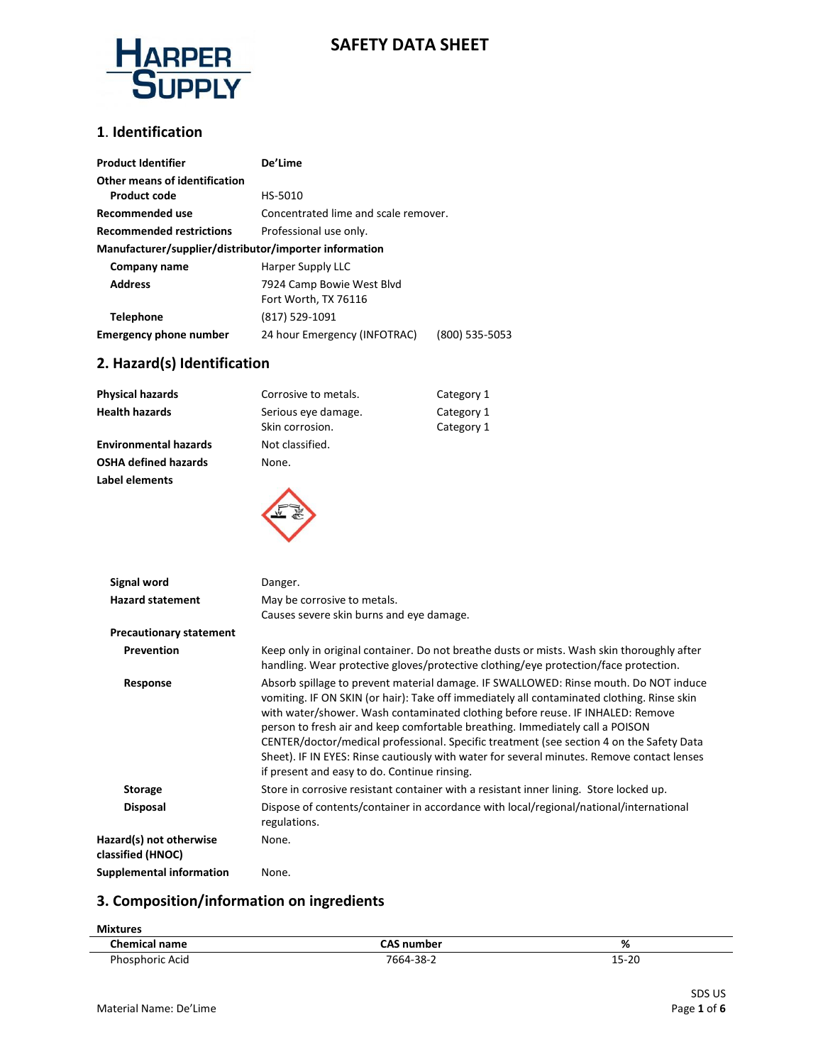

## **SAFETY DATA SHEET**

#### **1**. **Identification**

| <b>Product Identifier</b>                              | De'Lime                              |                |  |
|--------------------------------------------------------|--------------------------------------|----------------|--|
| Other means of identification                          |                                      |                |  |
| <b>Product code</b>                                    | HS-5010                              |                |  |
| Recommended use                                        | Concentrated lime and scale remover. |                |  |
| <b>Recommended restrictions</b>                        | Professional use only.               |                |  |
| Manufacturer/supplier/distributor/importer information |                                      |                |  |
| Company name                                           | Harper Supply LLC                    |                |  |
| <b>Address</b>                                         | 7924 Camp Bowie West Blvd            |                |  |
|                                                        | Fort Worth, TX 76116                 |                |  |
| <b>Telephone</b>                                       | (817) 529-1091                       |                |  |
| <b>Emergency phone number</b>                          | 24 hour Emergency (INFOTRAC)         | (800) 535-5053 |  |

#### **2. Hazard(s) Identification**

| <b>Physical hazards</b>      | Corrosive to metals.                   | Category 1               |
|------------------------------|----------------------------------------|--------------------------|
| <b>Health hazards</b>        | Serious eye damage.<br>Skin corrosion. | Category 1<br>Category 1 |
| <b>Environmental hazards</b> | Not classified.                        |                          |
| <b>OSHA defined hazards</b>  | None.                                  |                          |
| Label elements               |                                        |                          |
|                              |                                        |                          |

| Signal word                                  | Danger.                                                                                                                                                                                                                                                                                                                                                                                                                                                                                                                                                                                         |
|----------------------------------------------|-------------------------------------------------------------------------------------------------------------------------------------------------------------------------------------------------------------------------------------------------------------------------------------------------------------------------------------------------------------------------------------------------------------------------------------------------------------------------------------------------------------------------------------------------------------------------------------------------|
| <b>Hazard statement</b>                      | May be corrosive to metals.                                                                                                                                                                                                                                                                                                                                                                                                                                                                                                                                                                     |
|                                              | Causes severe skin burns and eye damage.                                                                                                                                                                                                                                                                                                                                                                                                                                                                                                                                                        |
| <b>Precautionary statement</b>               |                                                                                                                                                                                                                                                                                                                                                                                                                                                                                                                                                                                                 |
| Prevention                                   | Keep only in original container. Do not breathe dusts or mists. Wash skin thoroughly after<br>handling. Wear protective gloves/protective clothing/eye protection/face protection.                                                                                                                                                                                                                                                                                                                                                                                                              |
| Response                                     | Absorb spillage to prevent material damage. IF SWALLOWED: Rinse mouth. Do NOT induce<br>vomiting. IF ON SKIN (or hair): Take off immediately all contaminated clothing. Rinse skin<br>with water/shower. Wash contaminated clothing before reuse. IF INHALED: Remove<br>person to fresh air and keep comfortable breathing. Immediately call a POISON<br>CENTER/doctor/medical professional. Specific treatment (see section 4 on the Safety Data<br>Sheet). IF IN EYES: Rinse cautiously with water for several minutes. Remove contact lenses<br>if present and easy to do. Continue rinsing. |
| <b>Storage</b>                               | Store in corrosive resistant container with a resistant inner lining. Store locked up.                                                                                                                                                                                                                                                                                                                                                                                                                                                                                                          |
| <b>Disposal</b>                              | Dispose of contents/container in accordance with local/regional/national/international<br>regulations.                                                                                                                                                                                                                                                                                                                                                                                                                                                                                          |
| Hazard(s) not otherwise<br>classified (HNOC) | None.                                                                                                                                                                                                                                                                                                                                                                                                                                                                                                                                                                                           |
| Supplemental information                     | None.                                                                                                                                                                                                                                                                                                                                                                                                                                                                                                                                                                                           |

#### **3. Composition/information on ingredients**

| <b>Mixtures</b>      |                   |       |
|----------------------|-------------------|-------|
| <b>Chemical name</b> | <b>CAS number</b> | %     |
| Phosphoric Acid      | 7664-38-2         | 15-20 |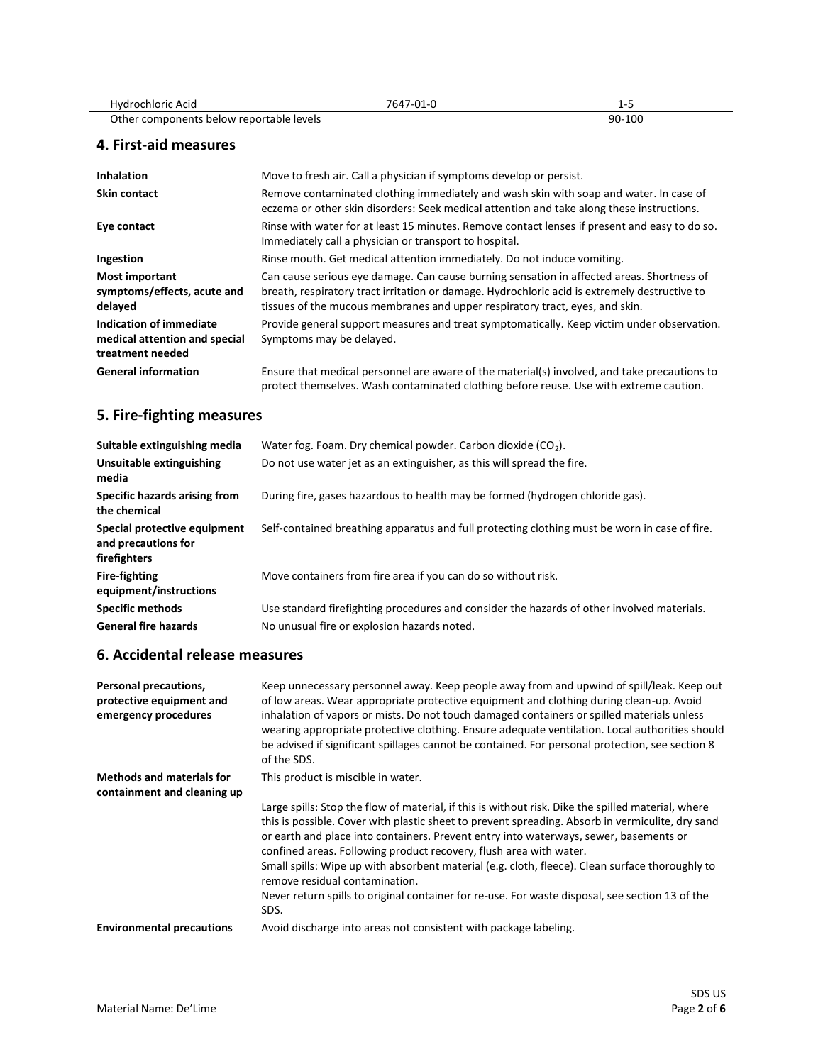| Hydrochloric Acid     | 7647-01-0                                                           | $1 - 5$                                                                                                                                                                             |  |
|-----------------------|---------------------------------------------------------------------|-------------------------------------------------------------------------------------------------------------------------------------------------------------------------------------|--|
|                       | Other components below reportable levels                            | 90-100                                                                                                                                                                              |  |
| 4. First-aid measures |                                                                     |                                                                                                                                                                                     |  |
| <b>Inhalation</b>     | Move to fresh air. Call a physician if symptoms develop or persist. |                                                                                                                                                                                     |  |
| Skin contact          |                                                                     | Remove contaminated clothing immediately and wash skin with soap and water. In case of<br>eczema or other skin disorders: Seek medical attention and take along these instructions. |  |
| Eye contact           |                                                                     | Rinse with water for at least 15 minutes. Remove contact lenses if present and easy to do so.                                                                                       |  |

|                                                                              | Immediately call a physician or transport to hospital.                                                                                                                                                                                                                     |
|------------------------------------------------------------------------------|----------------------------------------------------------------------------------------------------------------------------------------------------------------------------------------------------------------------------------------------------------------------------|
| Ingestion                                                                    | Rinse mouth. Get medical attention immediately. Do not induce vomiting.                                                                                                                                                                                                    |
| <b>Most important</b><br>symptoms/effects, acute and<br>delayed              | Can cause serious eye damage. Can cause burning sensation in affected areas. Shortness of<br>breath, respiratory tract irritation or damage. Hydrochloric acid is extremely destructive to<br>tissues of the mucous membranes and upper respiratory tract, eyes, and skin. |
| Indication of immediate<br>medical attention and special<br>treatment needed | Provide general support measures and treat symptomatically. Keep victim under observation.<br>Symptoms may be delayed.                                                                                                                                                     |
| <b>General information</b>                                                   | Ensure that medical personnel are aware of the material(s) involved, and take precautions to<br>protect themselves. Wash contaminated clothing before reuse. Use with extreme caution.                                                                                     |

#### **5. Fire-fighting measures**

| Suitable extinguishing media                                        | Water fog. Foam. Dry chemical powder. Carbon dioxide $(CO2)$ .                                |
|---------------------------------------------------------------------|-----------------------------------------------------------------------------------------------|
| Unsuitable extinguishing<br>media                                   | Do not use water jet as an extinguisher, as this will spread the fire.                        |
| Specific hazards arising from<br>the chemical                       | During fire, gases hazardous to health may be formed (hydrogen chloride gas).                 |
| Special protective equipment<br>and precautions for<br>firefighters | Self-contained breathing apparatus and full protecting clothing must be worn in case of fire. |
| <b>Fire-fighting</b><br>equipment/instructions                      | Move containers from fire area if you can do so without risk.                                 |
| <b>Specific methods</b>                                             | Use standard firefighting procedures and consider the hazards of other involved materials.    |
| <b>General fire hazards</b>                                         | No unusual fire or explosion hazards noted.                                                   |

#### **6. Accidental release measures**

| Personal precautions,<br>protective equipment and<br>emergency procedures | Keep unnecessary personnel away. Keep people away from and upwind of spill/leak. Keep out<br>of low areas. Wear appropriate protective equipment and clothing during clean-up. Avoid<br>inhalation of vapors or mists. Do not touch damaged containers or spilled materials unless<br>wearing appropriate protective clothing. Ensure adequate ventilation. Local authorities should<br>be advised if significant spillages cannot be contained. For personal protection, see section 8<br>of the SDS. |
|---------------------------------------------------------------------------|--------------------------------------------------------------------------------------------------------------------------------------------------------------------------------------------------------------------------------------------------------------------------------------------------------------------------------------------------------------------------------------------------------------------------------------------------------------------------------------------------------|
| <b>Methods and materials for</b><br>containment and cleaning up           | This product is miscible in water.                                                                                                                                                                                                                                                                                                                                                                                                                                                                     |
|                                                                           | Large spills: Stop the flow of material, if this is without risk. Dike the spilled material, where<br>this is possible. Cover with plastic sheet to prevent spreading. Absorb in vermiculite, dry sand<br>or earth and place into containers. Prevent entry into waterways, sewer, basements or<br>confined areas. Following product recovery, flush area with water.<br>Small spills: Wipe up with absorbent material (e.g. cloth, fleece). Clean surface thoroughly to                               |
|                                                                           | remove residual contamination.                                                                                                                                                                                                                                                                                                                                                                                                                                                                         |
|                                                                           | Never return spills to original container for re-use. For waste disposal, see section 13 of the<br>SDS.                                                                                                                                                                                                                                                                                                                                                                                                |
| <b>Environmental precautions</b>                                          | Avoid discharge into areas not consistent with package labeling.                                                                                                                                                                                                                                                                                                                                                                                                                                       |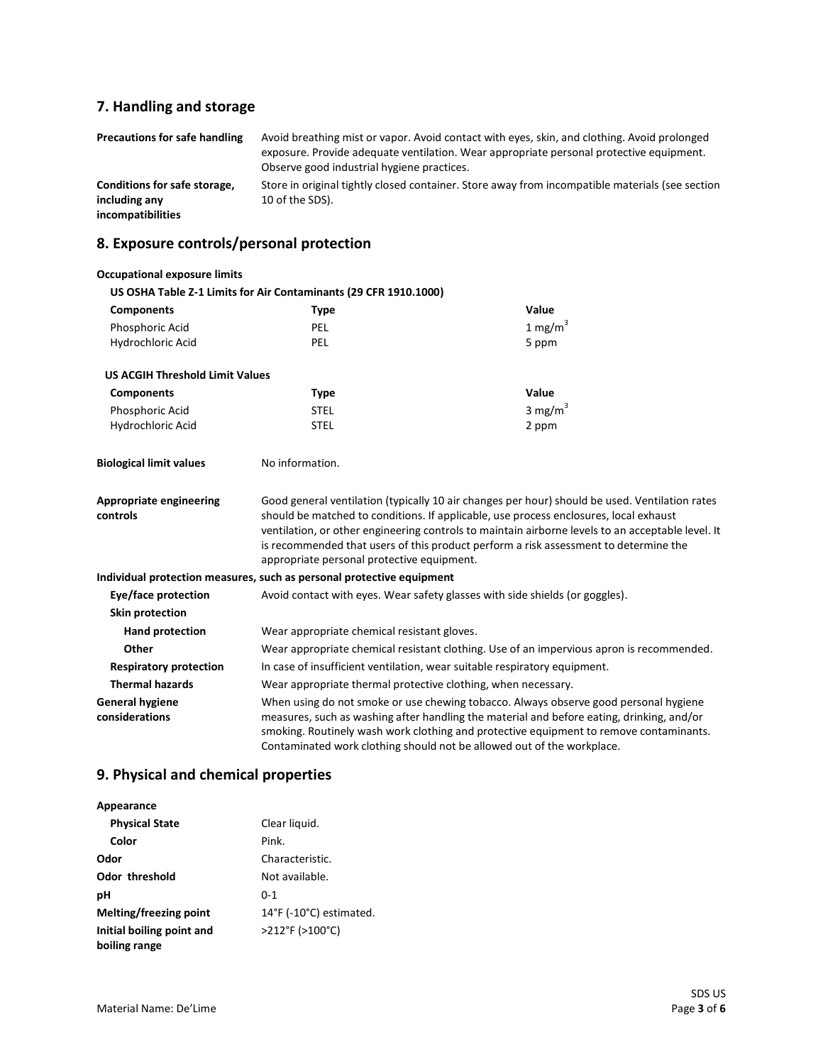# **7. Handling and storage**

| Precautions for safe handling                 | Avoid breathing mist or vapor. Avoid contact with eyes, skin, and clothing. Avoid prolonged<br>exposure. Provide adequate ventilation. Wear appropriate personal protective equipment.<br>Observe good industrial hygiene practices. |
|-----------------------------------------------|--------------------------------------------------------------------------------------------------------------------------------------------------------------------------------------------------------------------------------------|
| Conditions for safe storage,<br>including any | Store in original tightly closed container. Store away from incompatible materials (see section<br>10 of the SDS).                                                                                                                   |
| incompatibilities                             |                                                                                                                                                                                                                                      |

# **8. Exposure controls/personal protection**

| <b>Occupational exposure limits</b>      |                                                                                                                                                                                                                                                                                                                                                                                                                                    |                                                                                          |  |
|------------------------------------------|------------------------------------------------------------------------------------------------------------------------------------------------------------------------------------------------------------------------------------------------------------------------------------------------------------------------------------------------------------------------------------------------------------------------------------|------------------------------------------------------------------------------------------|--|
|                                          | US OSHA Table Z-1 Limits for Air Contaminants (29 CFR 1910.1000)                                                                                                                                                                                                                                                                                                                                                                   |                                                                                          |  |
| <b>Components</b>                        | <b>Type</b>                                                                                                                                                                                                                                                                                                                                                                                                                        | Value                                                                                    |  |
| Phosphoric Acid                          | <b>PEL</b>                                                                                                                                                                                                                                                                                                                                                                                                                         | 1 mg/m $3$                                                                               |  |
| Hydrochloric Acid                        | PEL                                                                                                                                                                                                                                                                                                                                                                                                                                | 5 ppm                                                                                    |  |
| <b>US ACGIH Threshold Limit Values</b>   |                                                                                                                                                                                                                                                                                                                                                                                                                                    |                                                                                          |  |
| <b>Components</b>                        | <b>Type</b>                                                                                                                                                                                                                                                                                                                                                                                                                        | Value                                                                                    |  |
| Phosphoric Acid                          | <b>STEL</b>                                                                                                                                                                                                                                                                                                                                                                                                                        | 3 mg/m $3$                                                                               |  |
| Hydrochloric Acid                        | <b>STEL</b>                                                                                                                                                                                                                                                                                                                                                                                                                        | 2 ppm                                                                                    |  |
| <b>Biological limit values</b>           | No information.                                                                                                                                                                                                                                                                                                                                                                                                                    |                                                                                          |  |
| Appropriate engineering<br>controls      | Good general ventilation (typically 10 air changes per hour) should be used. Ventilation rates<br>should be matched to conditions. If applicable, use process enclosures, local exhaust<br>ventilation, or other engineering controls to maintain airborne levels to an acceptable level. It<br>is recommended that users of this product perform a risk assessment to determine the<br>appropriate personal protective equipment. |                                                                                          |  |
|                                          | Individual protection measures, such as personal protective equipment                                                                                                                                                                                                                                                                                                                                                              |                                                                                          |  |
| Eye/face protection                      | Avoid contact with eyes. Wear safety glasses with side shields (or goggles).                                                                                                                                                                                                                                                                                                                                                       |                                                                                          |  |
| Skin protection                          |                                                                                                                                                                                                                                                                                                                                                                                                                                    |                                                                                          |  |
| <b>Hand protection</b>                   | Wear appropriate chemical resistant gloves.                                                                                                                                                                                                                                                                                                                                                                                        |                                                                                          |  |
| Other                                    |                                                                                                                                                                                                                                                                                                                                                                                                                                    | Wear appropriate chemical resistant clothing. Use of an impervious apron is recommended. |  |
| <b>Respiratory protection</b>            |                                                                                                                                                                                                                                                                                                                                                                                                                                    | In case of insufficient ventilation, wear suitable respiratory equipment.                |  |
| <b>Thermal hazards</b>                   | Wear appropriate thermal protective clothing, when necessary.                                                                                                                                                                                                                                                                                                                                                                      |                                                                                          |  |
| <b>General hygiene</b><br>considerations | When using do not smoke or use chewing tobacco. Always observe good personal hygiene<br>measures, such as washing after handling the material and before eating, drinking, and/or<br>smoking. Routinely wash work clothing and protective equipment to remove contaminants.<br>Contaminated work clothing should not be allowed out of the workplace.                                                                              |                                                                                          |  |

### **9. Physical and chemical properties**

| Clear liquid.           |
|-------------------------|
| Pink.                   |
| Characteristic.         |
| Not available.          |
| $0 - 1$                 |
| 14°F (-10°C) estimated. |
| >212°F (>100°C)         |
|                         |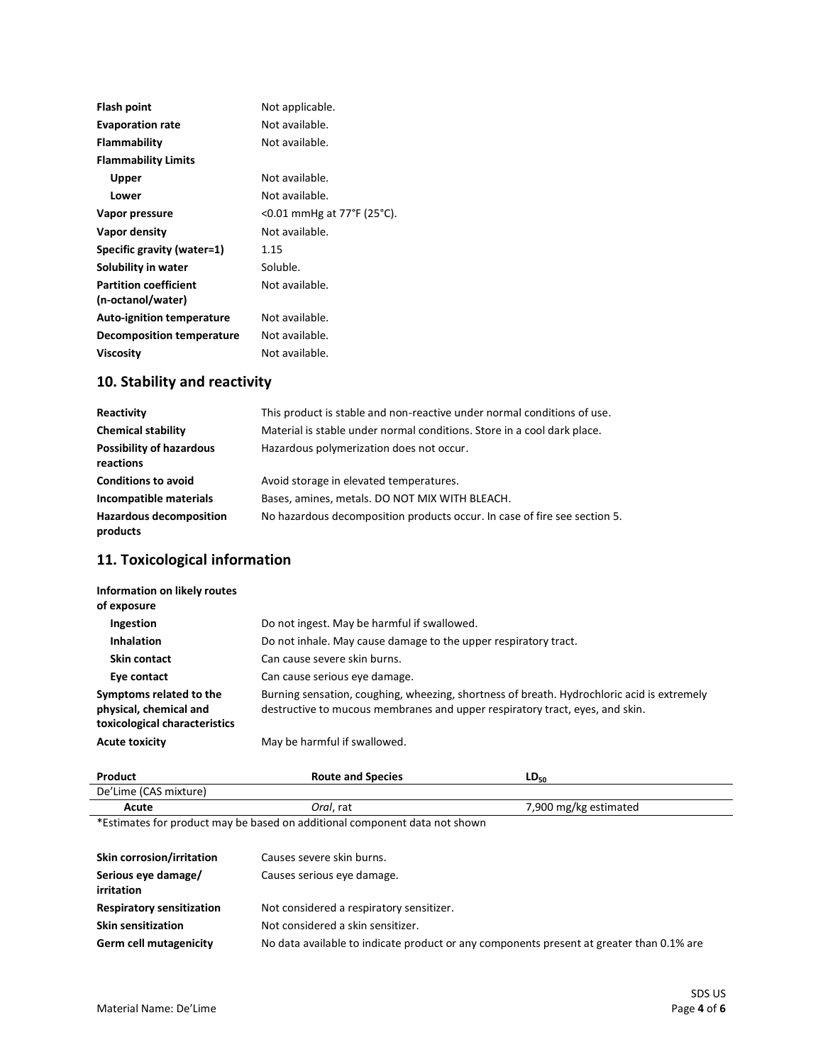| Flash point                      | Not applicable.            |
|----------------------------------|----------------------------|
| <b>Evaporation rate</b>          | Not available.             |
| Flammability                     | Not available.             |
| <b>Flammability Limits</b>       |                            |
| Upper                            | Not available.             |
| Lower                            | Not available.             |
| Vapor pressure                   | <0.01 mmHg at 77°F (25°C). |
| Vapor density                    | Not available.             |
| Specific gravity (water=1)       | 1.15                       |
| Solubility in water              | Soluble.                   |
| <b>Partition coefficient</b>     | Not available.             |
| (n-octanol/water)                |                            |
| <b>Auto-ignition temperature</b> | Not available.             |
| Decomposition temperature        | Not available.             |
| <b>Viscosity</b>                 | Not available.             |

# **10. Stability and reactivity**

| Reactivity                                   | This product is stable and non-reactive under normal conditions of use.   |
|----------------------------------------------|---------------------------------------------------------------------------|
| <b>Chemical stability</b>                    | Material is stable under normal conditions. Store in a cool dark place.   |
| <b>Possibility of hazardous</b><br>reactions | Hazardous polymerization does not occur.                                  |
| <b>Conditions to avoid</b>                   | Avoid storage in elevated temperatures.                                   |
| Incompatible materials                       | Bases, amines, metals. DO NOT MIX WITH BLEACH.                            |
| <b>Hazardous decomposition</b><br>products   | No hazardous decomposition products occur. In case of fire see section 5. |

### **11. Toxicological information**

| Information on likely routes<br>of exposure                                        |                                                                                                                                                                            |
|------------------------------------------------------------------------------------|----------------------------------------------------------------------------------------------------------------------------------------------------------------------------|
| Ingestion                                                                          | Do not ingest. May be harmful if swallowed.                                                                                                                                |
| <b>Inhalation</b>                                                                  | Do not inhale. May cause damage to the upper respiratory tract.                                                                                                            |
| Skin contact                                                                       | Can cause severe skin burns.                                                                                                                                               |
| Eye contact                                                                        | Can cause serious eye damage.                                                                                                                                              |
| Symptoms related to the<br>physical, chemical and<br>toxicological characteristics | Burning sensation, coughing, wheezing, shortness of breath. Hydrochloric acid is extremely<br>destructive to mucous membranes and upper respiratory tract, eyes, and skin. |
| <b>Acute toxicity</b>                                                              | May be harmful if swallowed.                                                                                                                                               |

| Product               | <b>Route and Species</b> | LV <sub>50</sub>      |  |
|-----------------------|--------------------------|-----------------------|--|
| De'Lime (CAS mixture) |                          |                       |  |
| Acute                 | <i>Oral</i> , rat        | 7,900 mg/kg estimated |  |

\*Estimates for product may be based on additional component data not shown

| Skin corrosion/irritation<br>Serious eye damage/<br><i>irritation</i> | Causes severe skin burns.<br>Causes serious eye damage.                                  |
|-----------------------------------------------------------------------|------------------------------------------------------------------------------------------|
| <b>Respiratory sensitization</b>                                      | Not considered a respiratory sensitizer.                                                 |
| <b>Skin sensitization</b>                                             | Not considered a skin sensitizer.                                                        |
| <b>Germ cell mutagenicity</b>                                         | No data available to indicate product or any components present at greater than 0.1% are |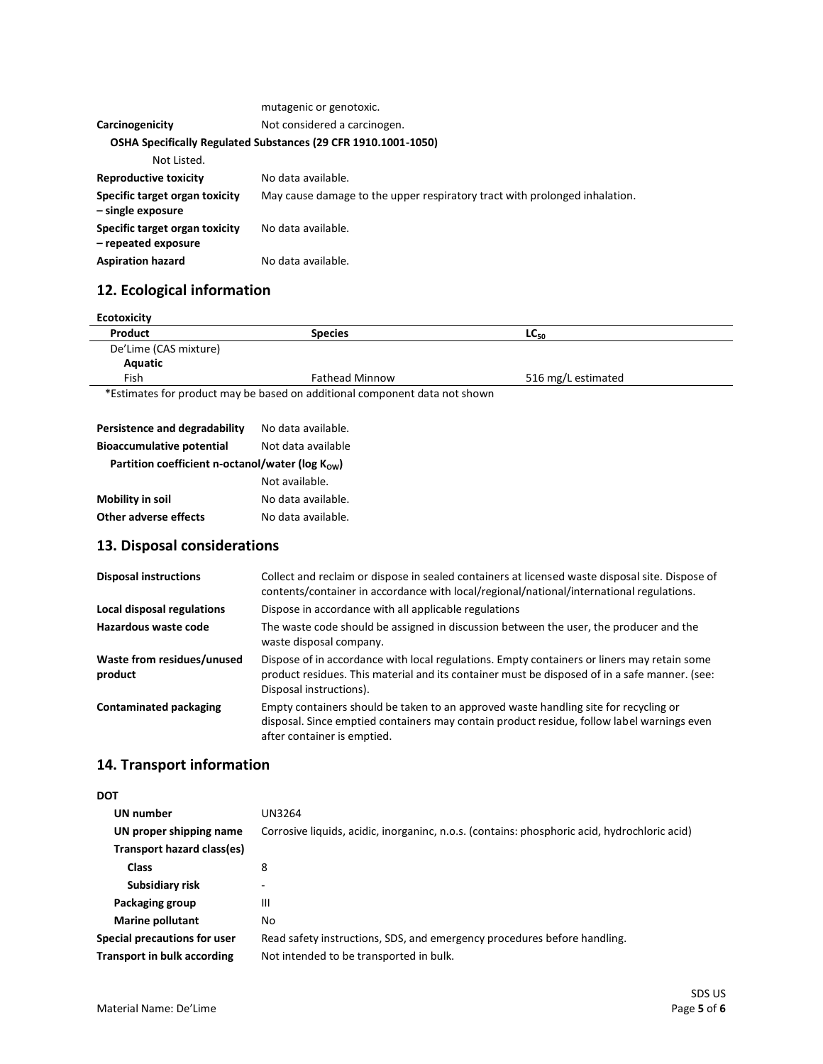|                                                       | mutagenic or genotoxic.                                                    |
|-------------------------------------------------------|----------------------------------------------------------------------------|
| Carcinogenicity                                       | Not considered a carcinogen.                                               |
|                                                       | OSHA Specifically Regulated Substances (29 CFR 1910.1001-1050)             |
| Not Listed.                                           |                                                                            |
| <b>Reproductive toxicity</b>                          | No data available.                                                         |
| Specific target organ toxicity<br>- single exposure   | May cause damage to the upper respiratory tract with prolonged inhalation. |
| Specific target organ toxicity<br>- repeated exposure | No data available.                                                         |
| <b>Aspiration hazard</b>                              | No data available.                                                         |

# **12. Ecological information**

| Product               | <b>Species</b>        | $LC_{50}$          |
|-----------------------|-----------------------|--------------------|
| De'Lime (CAS mixture) |                       |                    |
| Aquatic               |                       |                    |
| Fish                  | <b>Fathead Minnow</b> | 516 mg/L estimated |

| Persistence and degradability                                 | No data available. |
|---------------------------------------------------------------|--------------------|
| <b>Bioaccumulative potential</b>                              | Not data available |
| Partition coefficient n-octanol/water ( $log K_{\text{ow}}$ ) |                    |
|                                                               | Not available.     |
| <b>Mobility in soil</b>                                       | No data available. |
| Other adverse effects                                         | No data available. |

## **13. Disposal considerations**

| <b>Disposal instructions</b>          | Collect and reclaim or dispose in sealed containers at licensed waste disposal site. Dispose of<br>contents/container in accordance with local/regional/national/international regulations.                             |
|---------------------------------------|-------------------------------------------------------------------------------------------------------------------------------------------------------------------------------------------------------------------------|
| Local disposal regulations            | Dispose in accordance with all applicable regulations                                                                                                                                                                   |
| Hazardous waste code                  | The waste code should be assigned in discussion between the user, the producer and the<br>waste disposal company.                                                                                                       |
| Waste from residues/unused<br>product | Dispose of in accordance with local regulations. Empty containers or liners may retain some<br>product residues. This material and its container must be disposed of in a safe manner. (see:<br>Disposal instructions). |
| <b>Contaminated packaging</b>         | Empty containers should be taken to an approved waste handling site for recycling or<br>disposal. Since emptied containers may contain product residue, follow label warnings even<br>after container is emptied.       |

### **14. Transport information**

| UN number                          | UN3264                                                                                       |
|------------------------------------|----------------------------------------------------------------------------------------------|
| UN proper shipping name            | Corrosive liquids, acidic, inorganinc, n.o.s. (contains: phosphoric acid, hydrochloric acid) |
| Transport hazard class(es)         |                                                                                              |
| Class                              | 8                                                                                            |
| Subsidiary risk                    | -                                                                                            |
| Packaging group                    | Ш                                                                                            |
| <b>Marine pollutant</b>            | No                                                                                           |
| Special precautions for user       | Read safety instructions, SDS, and emergency procedures before handling.                     |
| <b>Transport in bulk according</b> | Not intended to be transported in bulk.                                                      |
|                                    |                                                                                              |